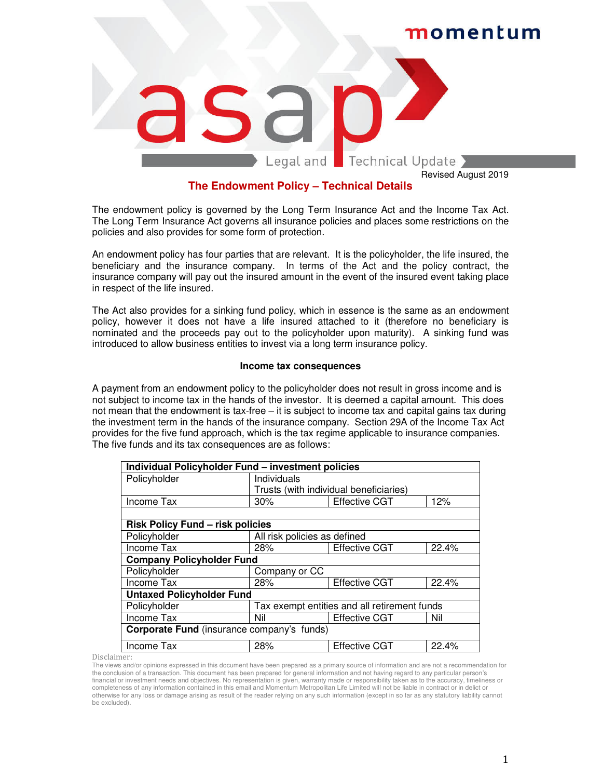

# **The Endowment Policy – Technical Details**

The endowment policy is governed by the Long Term Insurance Act and the Income Tax Act. The Long Term Insurance Act governs all insurance policies and places some restrictions on the policies and also provides for some form of protection.

An endowment policy has four parties that are relevant. It is the policyholder, the life insured, the beneficiary and the insurance company. In terms of the Act and the policy contract, the insurance company will pay out the insured amount in the event of the insured event taking place in respect of the life insured.

The Act also provides for a sinking fund policy, which in essence is the same as an endowment policy, however it does not have a life insured attached to it (therefore no beneficiary is nominated and the proceeds pay out to the policyholder upon maturity). A sinking fund was introduced to allow business entities to invest via a long term insurance policy.

## **Income tax consequences**

A payment from an endowment policy to the policyholder does not result in gross income and is not subject to income tax in the hands of the investor. It is deemed a capital amount. This does not mean that the endowment is tax-free – it is subject to income tax and capital gains tax during the investment term in the hands of the insurance company. Section 29A of the Income Tax Act provides for the five fund approach, which is the tax regime applicable to insurance companies. The five funds and its tax consequences are as follows:

| Individual Policyholder Fund - investment policies |                                              |                      |       |  |
|----------------------------------------------------|----------------------------------------------|----------------------|-------|--|
| Policyholder                                       | Individuals                                  |                      |       |  |
|                                                    | Trusts (with individual beneficiaries)       |                      |       |  |
| Income Tax                                         | 30%                                          | <b>Effective CGT</b> | 12%   |  |
|                                                    |                                              |                      |       |  |
| <b>Risk Policy Fund - risk policies</b>            |                                              |                      |       |  |
| Policyholder                                       | All risk policies as defined                 |                      |       |  |
| Income Tax                                         | 28%                                          | <b>Effective CGT</b> | 22.4% |  |
| <b>Company Policyholder Fund</b>                   |                                              |                      |       |  |
| Policyholder                                       | Company or CC                                |                      |       |  |
| Income Tax                                         | 28%                                          | <b>Effective CGT</b> | 22.4% |  |
| <b>Untaxed Policyholder Fund</b>                   |                                              |                      |       |  |
| Policyholder                                       | Tax exempt entities and all retirement funds |                      |       |  |
| Income Tax                                         | Nil                                          | <b>Effective CGT</b> | Nil   |  |
| <b>Corporate Fund</b> (insurance company's funds)  |                                              |                      |       |  |
| Income Tax                                         | 28%                                          | <b>Effective CGT</b> | 22.4% |  |

Disclaimer:

The views and/or opinions expressed in this document have been prepared as a primary source of information and are not a recommendation for the conclusion of a transaction. This document has been prepared for general information and not having regard to any particular person's financial or investment needs and objectives. No representation is given, warranty made or responsibility taken as to the accuracy, timeliness or completeness of any information contained in this email and Momentum Metropolitan Life Limited will not be liable in contract or in delict or otherwise for any loss or damage arising as result of the reader relying on any such information (except in so far as any statutory liability cannot be excluded).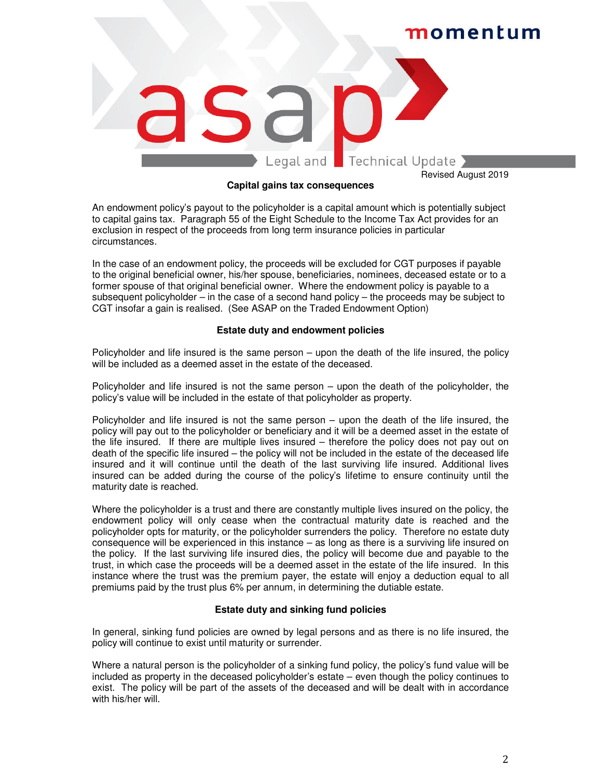

### **Capital gains tax consequences**

An endowment policy's payout to the policyholder is a capital amount which is potentially subject to capital gains tax. Paragraph 55 of the Eight Schedule to the Income Tax Act provides for an exclusion in respect of the proceeds from long term insurance policies in particular circumstances.

In the case of an endowment policy, the proceeds will be excluded for CGT purposes if payable to the original beneficial owner, his/her spouse, beneficiaries, nominees, deceased estate or to a former spouse of that original beneficial owner. Where the endowment policy is payable to a subsequent policyholder – in the case of a second hand policy – the proceeds may be subject to CGT insofar a gain is realised. (See ASAP on the Traded Endowment Option)

# **Estate duty and endowment policies**

Policyholder and life insured is the same person – upon the death of the life insured, the policy will be included as a deemed asset in the estate of the deceased.

Policyholder and life insured is not the same person – upon the death of the policyholder, the policy's value will be included in the estate of that policyholder as property.

Policyholder and life insured is not the same person – upon the death of the life insured, the policy will pay out to the policyholder or beneficiary and it will be a deemed asset in the estate of the life insured. If there are multiple lives insured – therefore the policy does not pay out on death of the specific life insured – the policy will not be included in the estate of the deceased life insured and it will continue until the death of the last surviving life insured. Additional lives insured can be added during the course of the policy's lifetime to ensure continuity until the maturity date is reached.

Where the policyholder is a trust and there are constantly multiple lives insured on the policy, the endowment policy will only cease when the contractual maturity date is reached and the policyholder opts for maturity, or the policyholder surrenders the policy. Therefore no estate duty consequence will be experienced in this instance – as long as there is a surviving life insured on the policy. If the last surviving life insured dies, the policy will become due and payable to the trust, in which case the proceeds will be a deemed asset in the estate of the life insured. In this instance where the trust was the premium payer, the estate will enjoy a deduction equal to all premiums paid by the trust plus 6% per annum, in determining the dutiable estate.

### **Estate duty and sinking fund policies**

In general, sinking fund policies are owned by legal persons and as there is no life insured, the policy will continue to exist until maturity or surrender.

Where a natural person is the policyholder of a sinking fund policy, the policy's fund value will be included as property in the deceased policyholder's estate – even though the policy continues to exist. The policy will be part of the assets of the deceased and will be dealt with in accordance with his/her will.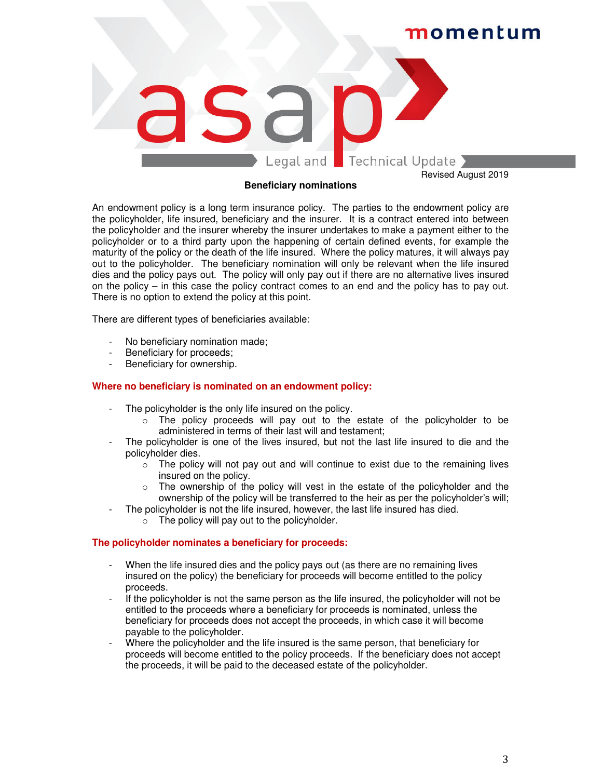

### **Beneficiary nominations**

An endowment policy is a long term insurance policy. The parties to the endowment policy are the policyholder, life insured, beneficiary and the insurer. It is a contract entered into between the policyholder and the insurer whereby the insurer undertakes to make a payment either to the policyholder or to a third party upon the happening of certain defined events, for example the maturity of the policy or the death of the life insured. Where the policy matures, it will always pay out to the policyholder. The beneficiary nomination will only be relevant when the life insured dies and the policy pays out. The policy will only pay out if there are no alternative lives insured on the policy – in this case the policy contract comes to an end and the policy has to pay out. There is no option to extend the policy at this point.

There are different types of beneficiaries available:

- No beneficiary nomination made;
- Beneficiary for proceeds;
- Beneficiary for ownership.

### **Where no beneficiary is nominated on an endowment policy:**

- The policyholder is the only life insured on the policy.
	- $\circ$  The policy proceeds will pay out to the estate of the policyholder to be administered in terms of their last will and testament;
- The policyholder is one of the lives insured, but not the last life insured to die and the policyholder dies.
	- $\circ$  The policy will not pay out and will continue to exist due to the remaining lives insured on the policy.
	- o The ownership of the policy will vest in the estate of the policyholder and the ownership of the policy will be transferred to the heir as per the policyholder's will;
- The policyholder is not the life insured, however, the last life insured has died.
	- $\circ$  The policy will pay out to the policyholder.

### **The policyholder nominates a beneficiary for proceeds:**

- When the life insured dies and the policy pays out (as there are no remaining lives insured on the policy) the beneficiary for proceeds will become entitled to the policy proceeds.
- If the policyholder is not the same person as the life insured, the policyholder will not be entitled to the proceeds where a beneficiary for proceeds is nominated, unless the beneficiary for proceeds does not accept the proceeds, in which case it will become payable to the policyholder.
- Where the policyholder and the life insured is the same person, that beneficiary for proceeds will become entitled to the policy proceeds. If the beneficiary does not accept the proceeds, it will be paid to the deceased estate of the policyholder.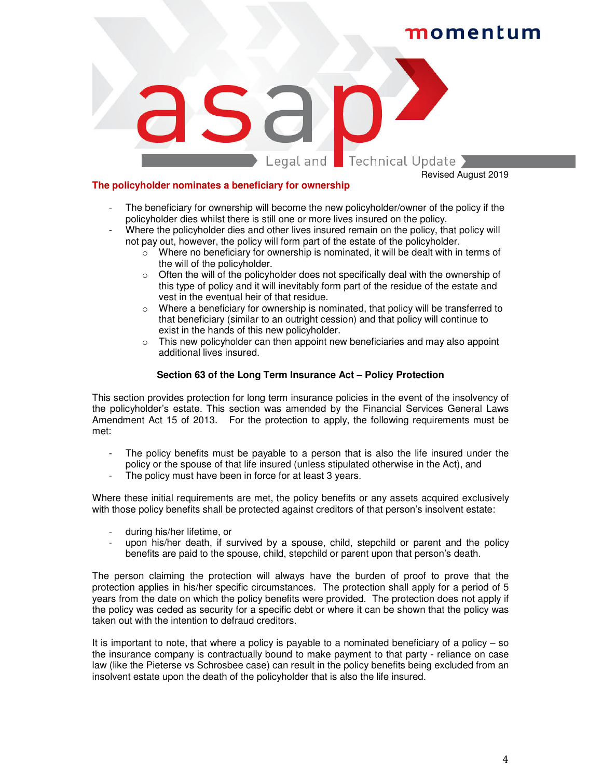# momentum



### **The policyholder nominates a beneficiary for ownership**

Revised August 2019

- The beneficiary for ownership will become the new policyholder/owner of the policy if the policyholder dies whilst there is still one or more lives insured on the policy.
- Where the policyholder dies and other lives insured remain on the policy, that policy will not pay out, however, the policy will form part of the estate of the policyholder.
	- $\circ$  Where no beneficiary for ownership is nominated, it will be dealt with in terms of the will of the policyholder.
	- $\circ$  Often the will of the policyholder does not specifically deal with the ownership of this type of policy and it will inevitably form part of the residue of the estate and vest in the eventual heir of that residue.
	- $\circ$  Where a beneficiary for ownership is nominated, that policy will be transferred to that beneficiary (similar to an outright cession) and that policy will continue to exist in the hands of this new policyholder.
	- $\circ$  This new policyholder can then appoint new beneficiaries and may also appoint additional lives insured.

## **Section 63 of the Long Term Insurance Act – Policy Protection**

This section provides protection for long term insurance policies in the event of the insolvency of the policyholder's estate. This section was amended by the Financial Services General Laws Amendment Act 15 of 2013. For the protection to apply, the following requirements must be met:

- The policy benefits must be payable to a person that is also the life insured under the policy or the spouse of that life insured (unless stipulated otherwise in the Act), and
- The policy must have been in force for at least 3 years.

Where these initial requirements are met, the policy benefits or any assets acquired exclusively with those policy benefits shall be protected against creditors of that person's insolvent estate:

- during his/her lifetime, or
- upon his/her death, if survived by a spouse, child, stepchild or parent and the policy benefits are paid to the spouse, child, stepchild or parent upon that person's death.

The person claiming the protection will always have the burden of proof to prove that the protection applies in his/her specific circumstances. The protection shall apply for a period of 5 years from the date on which the policy benefits were provided. The protection does not apply if the policy was ceded as security for a specific debt or where it can be shown that the policy was taken out with the intention to defraud creditors.

It is important to note, that where a policy is payable to a nominated beneficiary of a policy  $-$  so the insurance company is contractually bound to make payment to that party - reliance on case law (like the Pieterse vs Schrosbee case) can result in the policy benefits being excluded from an insolvent estate upon the death of the policyholder that is also the life insured.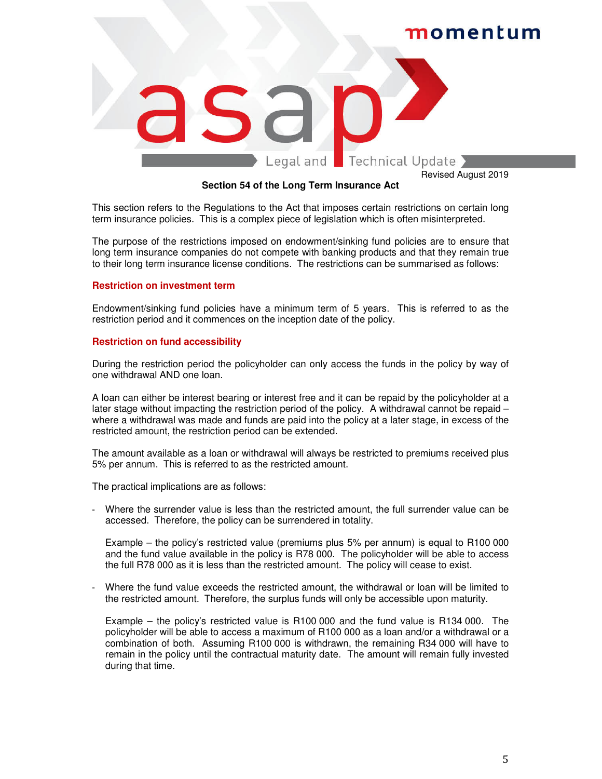

### **Section 54 of the Long Term Insurance Act**

This section refers to the Regulations to the Act that imposes certain restrictions on certain long term insurance policies. This is a complex piece of legislation which is often misinterpreted.

The purpose of the restrictions imposed on endowment/sinking fund policies are to ensure that long term insurance companies do not compete with banking products and that they remain true to their long term insurance license conditions. The restrictions can be summarised as follows:

### **Restriction on investment term**

Endowment/sinking fund policies have a minimum term of 5 years. This is referred to as the restriction period and it commences on the inception date of the policy.

### **Restriction on fund accessibility**

During the restriction period the policyholder can only access the funds in the policy by way of one withdrawal AND one loan.

A loan can either be interest bearing or interest free and it can be repaid by the policyholder at a later stage without impacting the restriction period of the policy. A withdrawal cannot be repaid – where a withdrawal was made and funds are paid into the policy at a later stage, in excess of the restricted amount, the restriction period can be extended.

The amount available as a loan or withdrawal will always be restricted to premiums received plus 5% per annum. This is referred to as the restricted amount.

The practical implications are as follows:

Where the surrender value is less than the restricted amount, the full surrender value can be accessed. Therefore, the policy can be surrendered in totality.

Example – the policy's restricted value (premiums plus 5% per annum) is equal to R100 000 and the fund value available in the policy is R78 000. The policyholder will be able to access the full R78 000 as it is less than the restricted amount. The policy will cease to exist.

- Where the fund value exceeds the restricted amount, the withdrawal or loan will be limited to the restricted amount. Therefore, the surplus funds will only be accessible upon maturity.

Example – the policy's restricted value is R100 000 and the fund value is R134 000. The policyholder will be able to access a maximum of R100 000 as a loan and/or a withdrawal or a combination of both. Assuming R100 000 is withdrawn, the remaining R34 000 will have to remain in the policy until the contractual maturity date. The amount will remain fully invested during that time.